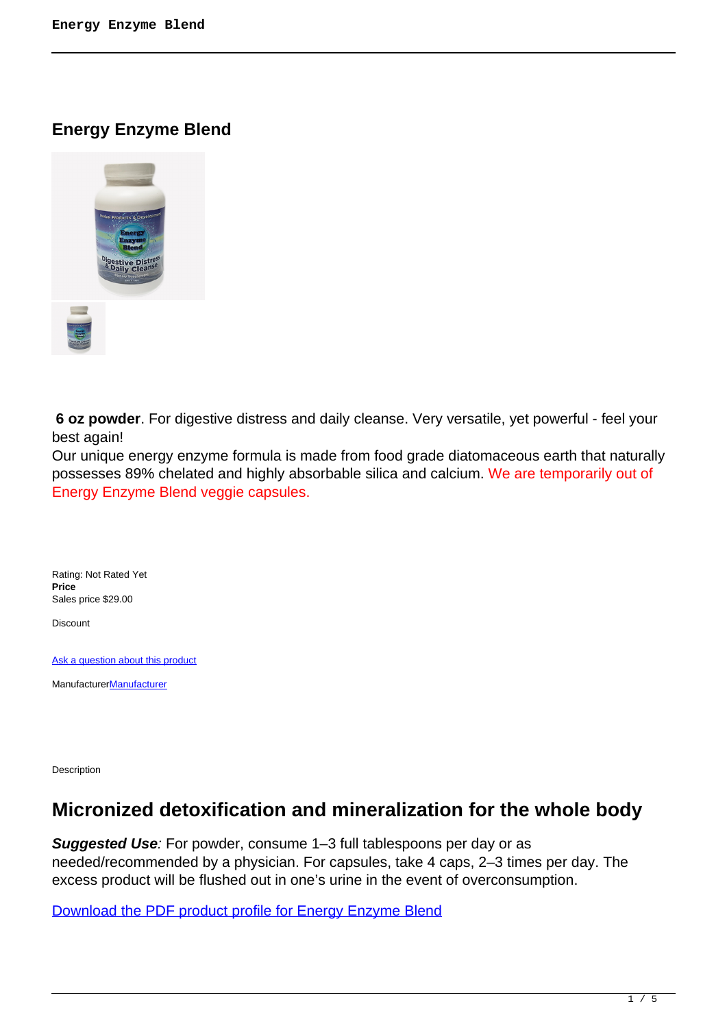**Energy Enzyme Blend**



 **6 oz powder**. For digestive distress and daily cleanse. Very versatile, yet powerful - feel your best again!

Our unique energy enzyme formula is made from food grade diatomaceous earth that naturally possesses 89% chelated and highly absorbable silica and calcium. We are temporarily out of Energy Enzyme Blend veggie capsules.

Rating: Not Rated Yet **Price**  Sales price \$29.00

Discount

[Ask a question about this product](https://herbprod.com/index.php?option=com_virtuemart&view=productdetails&task=askquestion&virtuemart_product_id=40&virtuemart_category_id=6&tmpl=component)

[Manufacturer](https://herbprod.com/index.php?option=com_virtuemart&view=manufacturer&virtuemart_manufacturer_id=1&tmpl=component)**Manufacturer** 

Description

## **Micronized detoxification and mineralization for the whole body**

**Suggested Use**: For powder, consume 1–3 full tablespoons per day or as needed/recommended by a physician. For capsules, take 4 caps, 2–3 times per day. The excess product will be flushed out in one's urine in the event of overconsumption.

Download the PDF product profile for Energy Enzyme Blend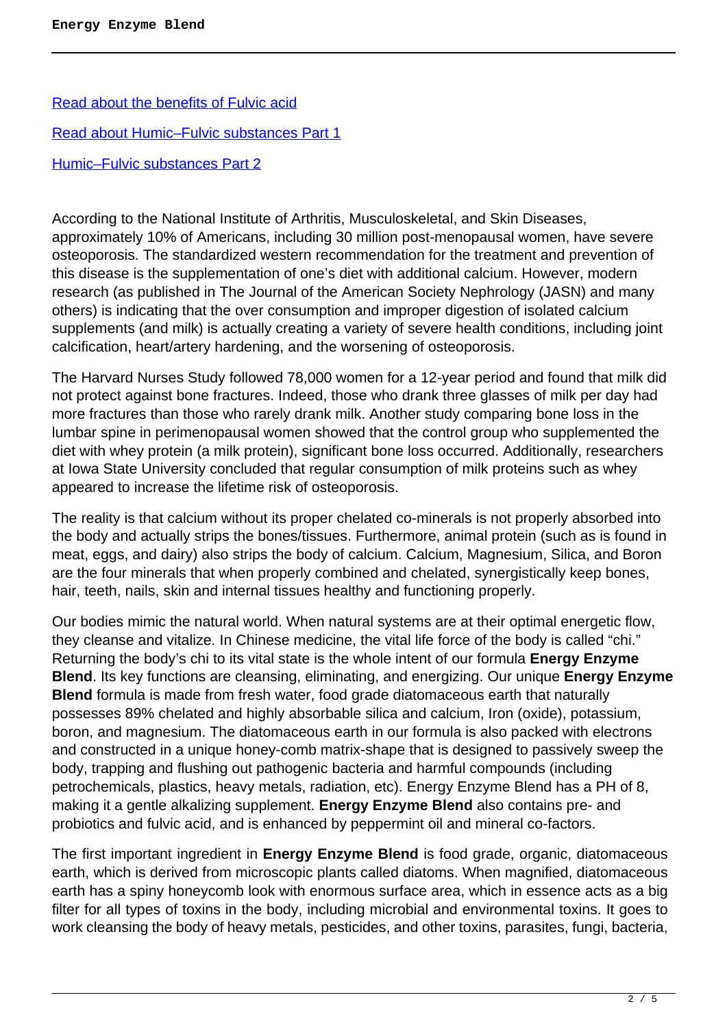[Read about the benefits of Fulvic acid](http://www.supremefulvic.com/documents/html/fulvic_acid.php#One_of_the_most_powerful_natural) [Read about Humic–Fulvic substances Part 1](http://www.fulvicacidminerals.com/images/About%20Humic%20&%20Fulvic%20Substances%20pt%201.pdf) [Humic–Fulvic substances Part 2](https://assets.motherearthlabs.com/resources/3.about_.humic-fulvic.substances.2.pdf)

According to the National Institute of Arthritis, Musculoskeletal, and Skin Diseases, approximately 10% of Americans, including 30 million post-menopausal women, have severe osteoporosis. The standardized western recommendation for the treatment and prevention of this disease is the supplementation of one's diet with additional calcium. However, modern research (as published in The Journal of the American Society Nephrology (JASN) and many others) is indicating that the over consumption and improper digestion of isolated calcium supplements (and milk) is actually creating a variety of severe health conditions, including joint calcification, heart/artery hardening, and the worsening of osteoporosis.

The Harvard Nurses Study followed 78,000 women for a 12-year period and found that milk did not protect against bone fractures. Indeed, those who drank three glasses of milk per day had more fractures than those who rarely drank milk. Another study comparing bone loss in the lumbar spine in perimenopausal women showed that the control group who supplemented the diet with whey protein (a milk protein), significant bone loss occurred. Additionally, researchers at Iowa State University concluded that regular consumption of milk proteins such as whey appeared to increase the lifetime risk of osteoporosis.

The reality is that calcium without its proper chelated co-minerals is not properly absorbed into the body and actually strips the bones/tissues. Furthermore, animal protein (such as is found in meat, eggs, and dairy) also strips the body of calcium. Calcium, Magnesium, Silica, and Boron are the four minerals that when properly combined and chelated, synergistically keep bones, hair, teeth, nails, skin and internal tissues healthy and functioning properly.

Our bodies mimic the natural world. When natural systems are at their optimal energetic flow, they cleanse and vitalize. In Chinese medicine, the vital life force of the body is called "chi." Returning the body's chi to its vital state is the whole intent of our formula **Energy Enzyme Blend**. Its key functions are cleansing, eliminating, and energizing. Our unique **Energy Enzyme Blend** formula is made from fresh water, food grade diatomaceous earth that naturally possesses 89% chelated and highly absorbable silica and calcium, Iron (oxide), potassium, boron, and magnesium. The diatomaceous earth in our formula is also packed with electrons and constructed in a unique honey-comb matrix-shape that is designed to passively sweep the body, trapping and flushing out pathogenic bacteria and harmful compounds (including petrochemicals, plastics, heavy metals, radiation, etc). Energy Enzyme Blend has a PH of 8, making it a gentle alkalizing supplement. **Energy Enzyme Blend** also contains pre- and probiotics and fulvic acid, and is enhanced by peppermint oil and mineral co-factors.

The first important ingredient in **Energy Enzyme Blend** is food grade, organic, diatomaceous earth, which is derived from microscopic plants called diatoms. When magnified, diatomaceous earth has a spiny honeycomb look with enormous surface area, which in essence acts as a big filter for all types of toxins in the body, including microbial and environmental toxins. It goes to work cleansing the body of heavy metals, pesticides, and other toxins, parasites, fungi, bacteria,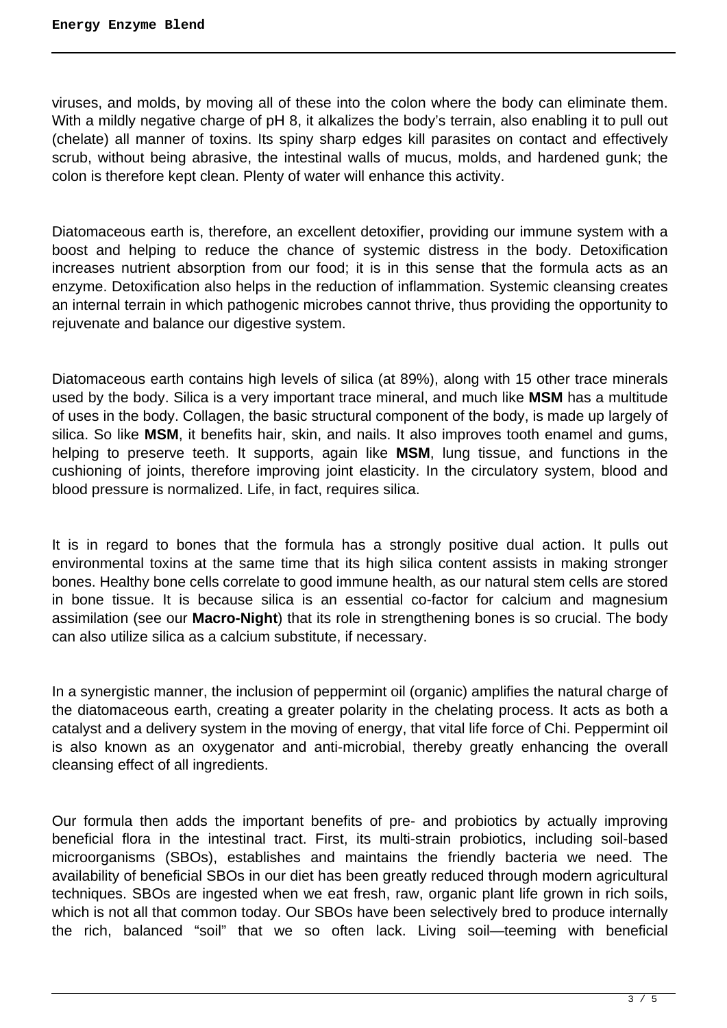viruses, and molds, by moving all of these into the colon where the body can eliminate them. With a mildly negative charge of pH 8, it alkalizes the body's terrain, also enabling it to pull out (chelate) all manner of toxins. Its spiny sharp edges kill parasites on contact and effectively scrub, without being abrasive, the intestinal walls of mucus, molds, and hardened gunk; the colon is therefore kept clean. Plenty of water will enhance this activity.

Diatomaceous earth is, therefore, an excellent detoxifier, providing our immune system with a boost and helping to reduce the chance of systemic distress in the body. Detoxification increases nutrient absorption from our food; it is in this sense that the formula acts as an enzyme. Detoxification also helps in the reduction of inflammation. Systemic cleansing creates an internal terrain in which pathogenic microbes cannot thrive, thus providing the opportunity to rejuvenate and balance our digestive system.

Diatomaceous earth contains high levels of silica (at 89%), along with 15 other trace minerals used by the body. Silica is a very important trace mineral, and much like **MSM** has a multitude of uses in the body. Collagen, the basic structural component of the body, is made up largely of silica. So like **MSM**, it benefits hair, skin, and nails. It also improves tooth enamel and gums, helping to preserve teeth. It supports, again like **MSM**, lung tissue, and functions in the cushioning of joints, therefore improving joint elasticity. In the circulatory system, blood and blood pressure is normalized. Life, in fact, requires silica.

It is in regard to bones that the formula has a strongly positive dual action. It pulls out environmental toxins at the same time that its high silica content assists in making stronger bones. Healthy bone cells correlate to good immune health, as our natural stem cells are stored in bone tissue. It is because silica is an essential co-factor for calcium and magnesium assimilation (see our **Macro-Night**) that its role in strengthening bones is so crucial. The body can also utilize silica as a calcium substitute, if necessary.

In a synergistic manner, the inclusion of peppermint oil (organic) amplifies the natural charge of the diatomaceous earth, creating a greater polarity in the chelating process. It acts as both a catalyst and a delivery system in the moving of energy, that vital life force of Chi. Peppermint oil is also known as an oxygenator and anti-microbial, thereby greatly enhancing the overall cleansing effect of all ingredients.

Our formula then adds the important benefits of pre- and probiotics by actually improving beneficial flora in the intestinal tract. First, its multi-strain probiotics, including soil-based microorganisms (SBOs), establishes and maintains the friendly bacteria we need. The availability of beneficial SBOs in our diet has been greatly reduced through modern agricultural techniques. SBOs are ingested when we eat fresh, raw, organic plant life grown in rich soils, which is not all that common today. Our SBOs have been selectively bred to produce internally the rich, balanced "soil" that we so often lack. Living soil—teeming with beneficial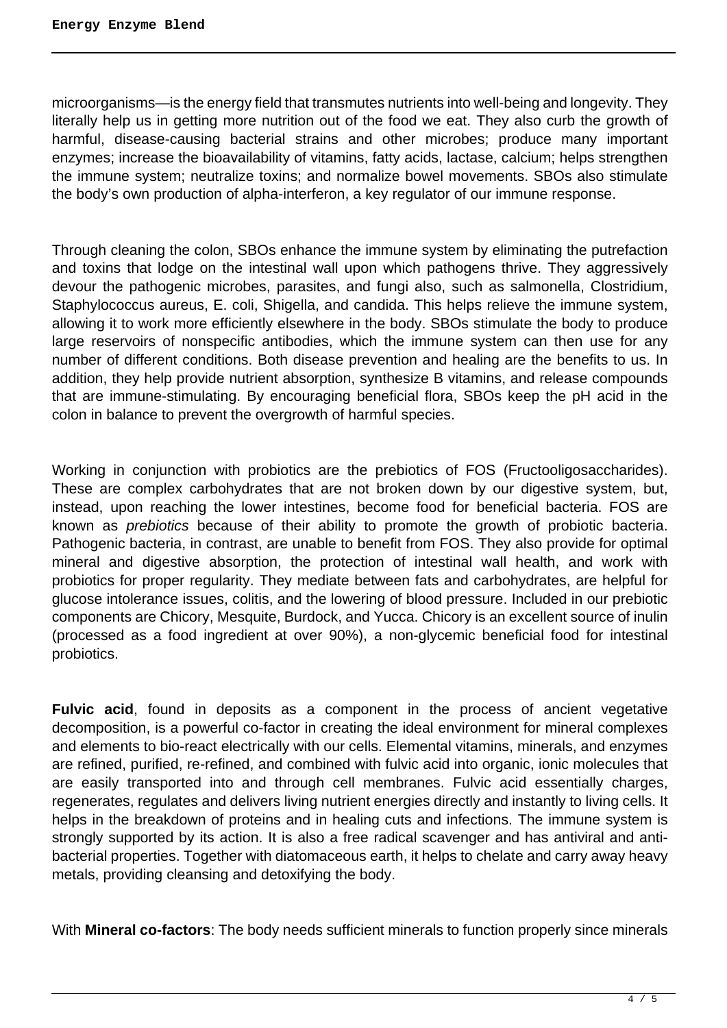microorganisms—is the energy field that transmutes nutrients into well-being and longevity. They literally help us in getting more nutrition out of the food we eat. They also curb the growth of harmful, disease-causing bacterial strains and other microbes; produce many important enzymes; increase the bioavailability of vitamins, fatty acids, lactase, calcium; helps strengthen the immune system; neutralize toxins; and normalize bowel movements. SBOs also stimulate the body's own production of alpha-interferon, a key regulator of our immune response.

Through cleaning the colon, SBOs enhance the immune system by eliminating the putrefaction and toxins that lodge on the intestinal wall upon which pathogens thrive. They aggressively devour the pathogenic microbes, parasites, and fungi also, such as salmonella, Clostridium, Staphylococcus aureus, E. coli, Shigella, and candida. This helps relieve the immune system, allowing it to work more efficiently elsewhere in the body. SBOs stimulate the body to produce large reservoirs of nonspecific antibodies, which the immune system can then use for any number of different conditions. Both disease prevention and healing are the benefits to us. In addition, they help provide nutrient absorption, synthesize B vitamins, and release compounds that are immune-stimulating. By encouraging beneficial flora, SBOs keep the pH acid in the colon in balance to prevent the overgrowth of harmful species.

Working in conjunction with probiotics are the prebiotics of FOS (Fructooligosaccharides). These are complex carbohydrates that are not broken down by our digestive system, but, instead, upon reaching the lower intestines, become food for beneficial bacteria. FOS are known as prebiotics because of their ability to promote the growth of probiotic bacteria. Pathogenic bacteria, in contrast, are unable to benefit from FOS. They also provide for optimal mineral and digestive absorption, the protection of intestinal wall health, and work with probiotics for proper regularity. They mediate between fats and carbohydrates, are helpful for glucose intolerance issues, colitis, and the lowering of blood pressure. Included in our prebiotic components are Chicory, Mesquite, Burdock, and Yucca. Chicory is an excellent source of inulin (processed as a food ingredient at over 90%), a non-glycemic beneficial food for intestinal probiotics.

**Fulvic acid**, found in deposits as a component in the process of ancient vegetative decomposition, is a powerful co-factor in creating the ideal environment for mineral complexes and elements to bio-react electrically with our cells. Elemental vitamins, minerals, and enzymes are refined, purified, re-refined, and combined with fulvic acid into organic, ionic molecules that are easily transported into and through cell membranes. Fulvic acid essentially charges, regenerates, regulates and delivers living nutrient energies directly and instantly to living cells. It helps in the breakdown of proteins and in healing cuts and infections. The immune system is strongly supported by its action. It is also a free radical scavenger and has antiviral and antibacterial properties. Together with diatomaceous earth, it helps to chelate and carry away heavy metals, providing cleansing and detoxifying the body.

With **Mineral co-factors**: The body needs sufficient minerals to function properly since minerals